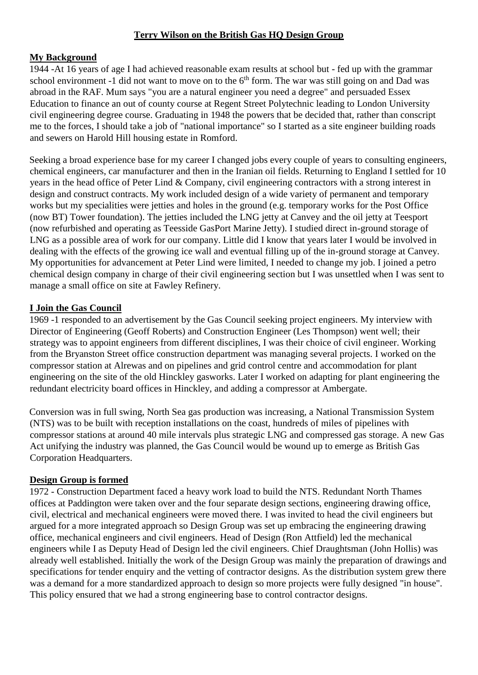### **Terry Wilson on the British Gas HQ Design Group**

#### **My Background**

1944 -At 16 years of age I had achieved reasonable exam results at school but - fed up with the grammar school environment -1 did not want to move on to the  $6<sup>th</sup>$  form. The war was still going on and Dad was abroad in the RAF. Mum says "you are a natural engineer you need a degree" and persuaded Essex Education to finance an out of county course at Regent Street Polytechnic leading to London University civil engineering degree course. Graduating in 1948 the powers that be decided that, rather than conscript me to the forces, I should take a job of "national importance" so I started as a site engineer building roads and sewers on Harold Hill housing estate in Romford.

Seeking a broad experience base for my career I changed jobs every couple of years to consulting engineers, chemical engineers, car manufacturer and then in the Iranian oil fields. Returning to England I settled for 10 years in the head office of Peter Lind & Company, civil engineering contractors with a strong interest in design and construct contracts. My work included design of a wide variety of permanent and temporary works but my specialities were jetties and holes in the ground (e.g. temporary works for the Post Office (now BT) Tower foundation). The jetties included the LNG jetty at Canvey and the oil jetty at Teesport (now refurbished and operating as Teesside GasPort Marine Jetty). I studied direct in-ground storage of LNG as a possible area of work for our company. Little did I know that years later I would be involved in dealing with the effects of the growing ice wall and eventual filling up of the in-ground storage at Canvey. My opportunities for advancement at Peter Lind were limited, I needed to change my job. I joined a petro chemical design company in charge of their civil engineering section but I was unsettled when I was sent to manage a small office on site at Fawley Refinery.

#### **I Join the Gas Council**

1969 -1 responded to an advertisement by the Gas Council seeking project engineers. My interview with Director of Engineering (Geoff Roberts) and Construction Engineer (Les Thompson) went well; their strategy was to appoint engineers from different disciplines, I was their choice of civil engineer. Working from the Bryanston Street office construction department was managing several projects. I worked on the compressor station at Alrewas and on pipelines and grid control centre and accommodation for plant engineering on the site of the old Hinckley gasworks. Later I worked on adapting for plant engineering the redundant electricity board offices in Hinckley, and adding a compressor at Ambergate.

Conversion was in full swing, North Sea gas production was increasing, a National Transmission System (NTS) was to be built with reception installations on the coast, hundreds of miles of pipelines with compressor stations at around 40 mile intervals plus strategic LNG and compressed gas storage. A new Gas Act unifying the industry was planned, the Gas Council would be wound up to emerge as British Gas Corporation Headquarters.

### **Design Group is formed**

1972 - Construction Department faced a heavy work load to build the NTS. Redundant North Thames offices at Paddington were taken over and the four separate design sections, engineering drawing office, civil, electrical and mechanical engineers were moved there. I was invited to head the civil engineers but argued for a more integrated approach so Design Group was set up embracing the engineering drawing office, mechanical engineers and civil engineers. Head of Design (Ron Attfield) led the mechanical engineers while I as Deputy Head of Design led the civil engineers. Chief Draughtsman (John Hollis) was already well established. Initially the work of the Design Group was mainly the preparation of drawings and specifications for tender enquiry and the vetting of contractor designs. As the distribution system grew there was a demand for a more standardized approach to design so more projects were fully designed "in house". This policy ensured that we had a strong engineering base to control contractor designs.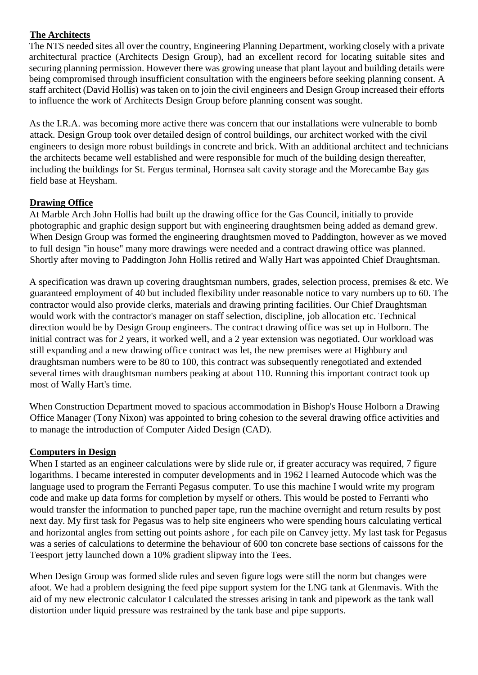## **The Architects**

The NTS needed sites all over the country, Engineering Planning Department, working closely with a private architectural practice (Architects Design Group), had an excellent record for locating suitable sites and securing planning permission. However there was growing unease that plant layout and building details were being compromised through insufficient consultation with the engineers before seeking planning consent. A staff architect (David Hollis) was taken on to join the civil engineers and Design Group increased their efforts to influence the work of Architects Design Group before planning consent was sought.

As the I.R.A. was becoming more active there was concern that our installations were vulnerable to bomb attack. Design Group took over detailed design of control buildings, our architect worked with the civil engineers to design more robust buildings in concrete and brick. With an additional architect and technicians the architects became well established and were responsible for much of the building design thereafter, including the buildings for St. Fergus terminal, Hornsea salt cavity storage and the Morecambe Bay gas field base at Heysham.

## **Drawing Office**

At Marble Arch John Hollis had built up the drawing office for the Gas Council, initially to provide photographic and graphic design support but with engineering draughtsmen being added as demand grew. When Design Group was formed the engineering draughtsmen moved to Paddington, however as we moved to full design "in house" many more drawings were needed and a contract drawing office was planned. Shortly after moving to Paddington John Hollis retired and Wally Hart was appointed Chief Draughtsman.

A specification was drawn up covering draughtsman numbers, grades, selection process, premises & etc. We guaranteed employment of 40 but included flexibility under reasonable notice to vary numbers up to 60. The contractor would also provide clerks, materials and drawing printing facilities. Our Chief Draughtsman would work with the contractor's manager on staff selection, discipline, job allocation etc. Technical direction would be by Design Group engineers. The contract drawing office was set up in Holborn. The initial contract was for 2 years, it worked well, and a 2 year extension was negotiated. Our workload was still expanding and a new drawing office contract was let, the new premises were at Highbury and draughtsman numbers were to be 80 to 100, this contract was subsequently renegotiated and extended several times with draughtsman numbers peaking at about 110. Running this important contract took up most of Wally Hart's time.

When Construction Department moved to spacious accommodation in Bishop's House Holborn a Drawing Office Manager (Tony Nixon) was appointed to bring cohesion to the several drawing office activities and to manage the introduction of Computer Aided Design (CAD).

### **Computers in Design**

When I started as an engineer calculations were by slide rule or, if greater accuracy was required, 7 figure logarithms. I became interested in computer developments and in 1962 I learned Autocode which was the language used to program the Ferranti Pegasus computer. To use this machine I would write my program code and make up data forms for completion by myself or others. This would be posted to Ferranti who would transfer the information to punched paper tape, run the machine overnight and return results by post next day. My first task for Pegasus was to help site engineers who were spending hours calculating vertical and horizontal angles from setting out points ashore , for each pile on Canvey jetty. My last task for Pegasus was a series of calculations to determine the behaviour of 600 ton concrete base sections of caissons for the Teesport jetty launched down a 10% gradient slipway into the Tees.

When Design Group was formed slide rules and seven figure logs were still the norm but changes were afoot. We had a problem designing the feed pipe support system for the LNG tank at Glenmavis. With the aid of my new electronic calculator I calculated the stresses arising in tank and pipework as the tank wall distortion under liquid pressure was restrained by the tank base and pipe supports.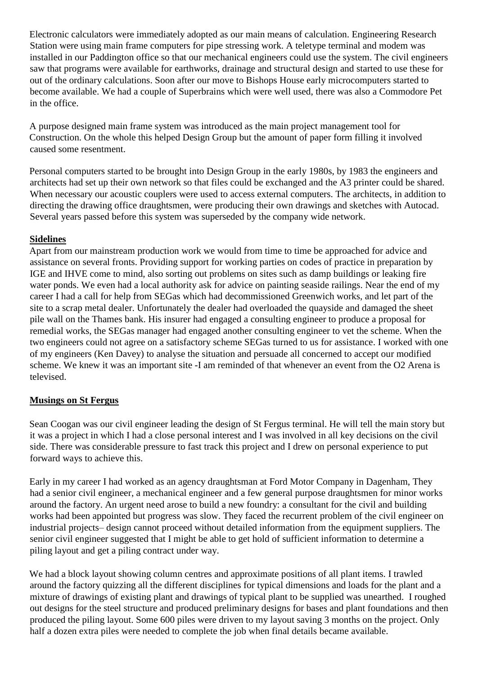Electronic calculators were immediately adopted as our main means of calculation. Engineering Research Station were using main frame computers for pipe stressing work. A teletype terminal and modem was installed in our Paddington office so that our mechanical engineers could use the system. The civil engineers saw that programs were available for earthworks, drainage and structural design and started to use these for out of the ordinary calculations. Soon after our move to Bishops House early microcomputers started to become available. We had a couple of Superbrains which were well used, there was also a Commodore Pet in the office.

A purpose designed main frame system was introduced as the main project management tool for Construction. On the whole this helped Design Group but the amount of paper form filling it involved caused some resentment.

Personal computers started to be brought into Design Group in the early 1980s, by 1983 the engineers and architects had set up their own network so that files could be exchanged and the A3 printer could be shared. When necessary our acoustic couplers were used to access external computers. The architects, in addition to directing the drawing office draughtsmen, were producing their own drawings and sketches with Autocad. Several years passed before this system was superseded by the company wide network.

## **Sidelines**

Apart from our mainstream production work we would from time to time be approached for advice and assistance on several fronts. Providing support for working parties on codes of practice in preparation by IGE and IHVE come to mind, also sorting out problems on sites such as damp buildings or leaking fire water ponds. We even had a local authority ask for advice on painting seaside railings. Near the end of my career I had a call for help from SEGas which had decommissioned Greenwich works, and let part of the site to a scrap metal dealer. Unfortunately the dealer had overloaded the quayside and damaged the sheet pile wall on the Thames bank. His insurer had engaged a consulting engineer to produce a proposal for remedial works, the SEGas manager had engaged another consulting engineer to vet the scheme. When the two engineers could not agree on a satisfactory scheme SEGas turned to us for assistance. I worked with one of my engineers (Ken Davey) to analyse the situation and persuade all concerned to accept our modified scheme. We knew it was an important site -I am reminded of that whenever an event from the O2 Arena is televised.

# **Musings on St Fergus**

Sean Coogan was our civil engineer leading the design of St Fergus terminal. He will tell the main story but it was a project in which I had a close personal interest and I was involved in all key decisions on the civil side. There was considerable pressure to fast track this project and I drew on personal experience to put forward ways to achieve this.

Early in my career I had worked as an agency draughtsman at Ford Motor Company in Dagenham, They had a senior civil engineer, a mechanical engineer and a few general purpose draughtsmen for minor works around the factory. An urgent need arose to build a new foundry: a consultant for the civil and building works had been appointed but progress was slow. They faced the recurrent problem of the civil engineer on industrial projects– design cannot proceed without detailed information from the equipment suppliers. The senior civil engineer suggested that I might be able to get hold of sufficient information to determine a piling layout and get a piling contract under way.

We had a block layout showing column centres and approximate positions of all plant items. I trawled around the factory quizzing all the different disciplines for typical dimensions and loads for the plant and a mixture of drawings of existing plant and drawings of typical plant to be supplied was unearthed. I roughed out designs for the steel structure and produced preliminary designs for bases and plant foundations and then produced the piling layout. Some 600 piles were driven to my layout saving 3 months on the project. Only half a dozen extra piles were needed to complete the job when final details became available.